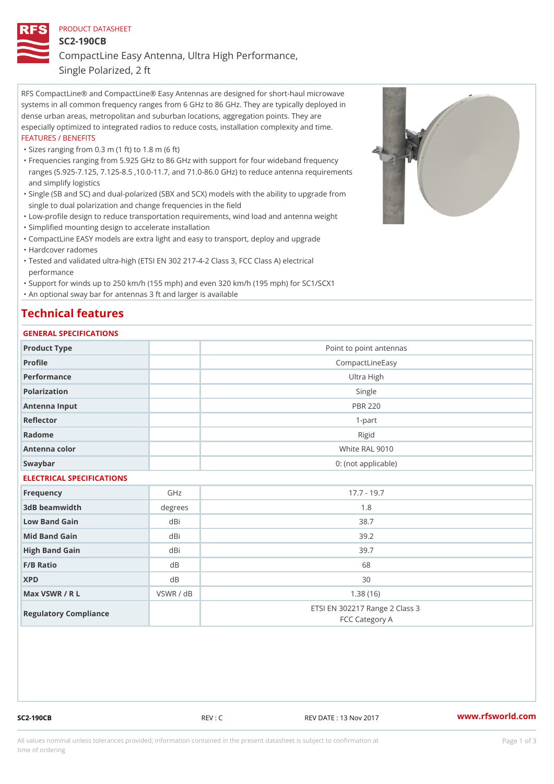## PRODUCT DATASHEET

SC2-190CB

CompactLine Easy Antenna, Ultra High Performance,

Single Polarized, 2 ft

RFS CompactLine® and CompactLine® Easy Antennas are designed for short-haul microwave systems in all common frequency ranges from 6 GHz to 86 GHz. They are typically deployed in dense urban areas, metropolitan and suburban locations, aggregation points. They are especially optimized to integrated radios to reduce costs, installation complexity and time. FEATURES / BENEFITS

"Sizes ranging from 0.3 m (1 ft) to 1.8 m (6 ft)

- Frequencies ranging from 5.925 GHz to 86 GHz with support for four wideband frequency " ranges (5.925-7.125, 7.125-8.5 ,10.0-11.7, and 71.0-86.0 GHz) to reduce antenna requirements and simplify logistics
- Single (SB and SC) and dual-polarized (SBX and SCX) models with the ability to upgrade from " single to dual polarization and change frequencies in the field
- "Low-profile design to reduce transportation requirements, wind load and antenna weight
- "Simplified mounting design to accelerate installation

 "CompactLine EASY models are extra light and easy to transport, deploy and upgrade "Hardcover radomes

Tested and validated ultra-high (ETSI EN 302 217-4-2 Class 3, FCC Class A) electrical " performance

 "Support for winds up to 250 km/h (155 mph) and even 320 km/h (195 mph) for SC1/SCX1 "An optional sway bar for antennas 3 ft and larger is available

# Technical features

## GENERAL SPECIFICATIONS

| GENERAL SELGIFICATIONS    |           |                                                  |  |  |
|---------------------------|-----------|--------------------------------------------------|--|--|
| Product Type              |           | Point to point antennas                          |  |  |
| Profile                   |           | CompactLineEasy                                  |  |  |
| Performance               |           | Ultra High                                       |  |  |
| Polarization              |           | Single                                           |  |  |
| Antenna Input             |           | <b>PBR 220</b>                                   |  |  |
| Reflector                 | $1-part$  |                                                  |  |  |
| Radome                    |           | Rigid                                            |  |  |
| Antenna color             |           | White RAL 9010                                   |  |  |
| Swaybar                   |           | 0: (not applicable)                              |  |  |
| ELECTRICAL SPECIFICATIONS |           |                                                  |  |  |
| Frequency                 | GHz       | $17.7 - 19.7$                                    |  |  |
| 3dB beamwidth             | degrees   | 1.8                                              |  |  |
| Low Band Gain             | dBi       | 38.7                                             |  |  |
| Mid Band Gain             | dBi       | 39.2                                             |  |  |
| High Band Gain            | dBi       | 39.7                                             |  |  |
| $F/B$ Ratio               | $d$ B     | 68                                               |  |  |
| <b>XPD</b>                | d B       | 30                                               |  |  |
| Max VSWR / R L            | VSWR / dB | 1.38(16)                                         |  |  |
| Regulatory Compliance     |           | ETSI EN 302217 Range 2 Class 3<br>FCC Category A |  |  |

SC2-190CB REV : C REV DATE : 13 Nov 2017 [www.](https://www.rfsworld.com)rfsworld.com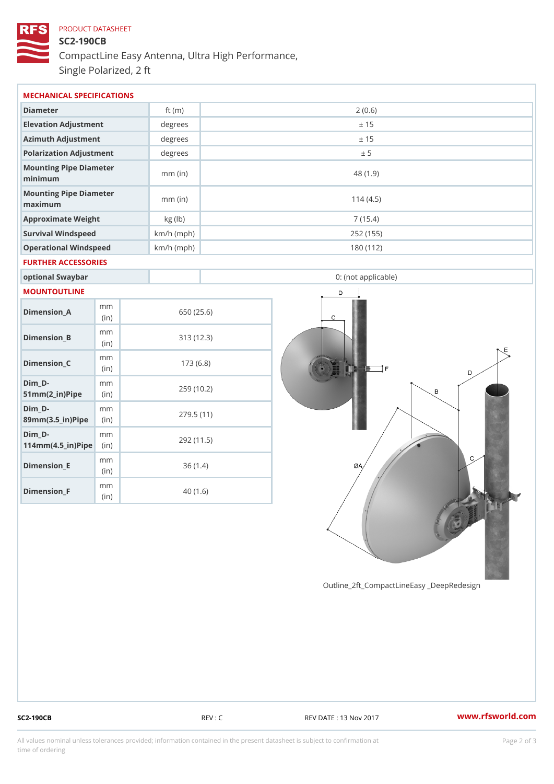# PRODUCT DATASHEET SC2-190CB CompactLine Easy Antenna, Ultra High Performance, Single Polarized, 2 ft

| MECHANICAL SPECIFICATIONS                                                     |  |              |                     |  |  |  |
|-------------------------------------------------------------------------------|--|--------------|---------------------|--|--|--|
| Diameter                                                                      |  | ft $(m)$     | 2(0.6)              |  |  |  |
| Elevation Adjustment                                                          |  | degrees      | ± 15                |  |  |  |
| Azimuth Adjustment                                                            |  | degrees      | ± 15                |  |  |  |
| Polarization Adjustment                                                       |  | degrees      | ± 5                 |  |  |  |
| Mounting Pipe Diameter<br>minimum                                             |  | $mm$ (in)    | 48 (1.9)            |  |  |  |
| Mounting Pipe Diameter<br>maximum                                             |  | $mm$ (in)    | 114(4.5)            |  |  |  |
| Approximate Weight                                                            |  | kg (lb)      | 7(15.4)             |  |  |  |
| Survival Windspeed                                                            |  | $km/h$ (mph) | 252 (155)           |  |  |  |
| Operational Windspeed                                                         |  | $km/h$ (mph) | 180 (112)           |  |  |  |
| FURTHER ACCESSORIES                                                           |  |              |                     |  |  |  |
| optional Swaybar                                                              |  |              | 0: (not applicable) |  |  |  |
| MOUNTOUTLINE                                                                  |  |              |                     |  |  |  |
| m m<br>$Dimension_A$<br>(in)                                                  |  |              | 650 (25.6)          |  |  |  |
| m m<br>$Dimension_B$<br>(in)                                                  |  |              | 313 (12.3)          |  |  |  |
| m m<br>$Dimenision_C$<br>(in)                                                 |  |              | 173(6.8)            |  |  |  |
| $Dim_D - D -$<br>m m<br>$51mm(2_in)Pip@in$                                    |  |              | 259 (10.2)          |  |  |  |
| $Dim_D - D -$<br>m m<br>89mm (3.5_in) Pi(pine                                 |  |              | 279.5(11)           |  |  |  |
| $Dim_D - D -$<br>m m<br>$114$ m m $(4.5$ ir $)$ $\sqrt{$ ii $\sqrt{p}}$ $\ge$ |  |              | 292 (11.5)          |  |  |  |
| m m<br>$Dimension$ _ $E$<br>(in)                                              |  |              | 36(1.4)             |  |  |  |
| m m<br>Dimension_F<br>(in)                                                    |  |              | 40(1.6)             |  |  |  |

Outline\_2ft\_CompactLineEasy \_DeepRedesi

SC2-190CB REV : C REV DATE : 13 Nov 2017 WWW.rfsworld.com